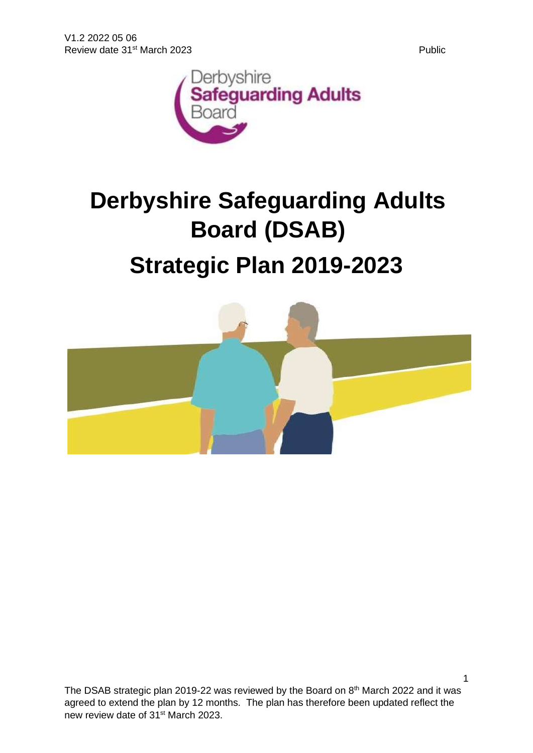

# **Derbyshire Safeguarding Adults Board (DSAB)**

# **Strategic Plan 2019-2023**

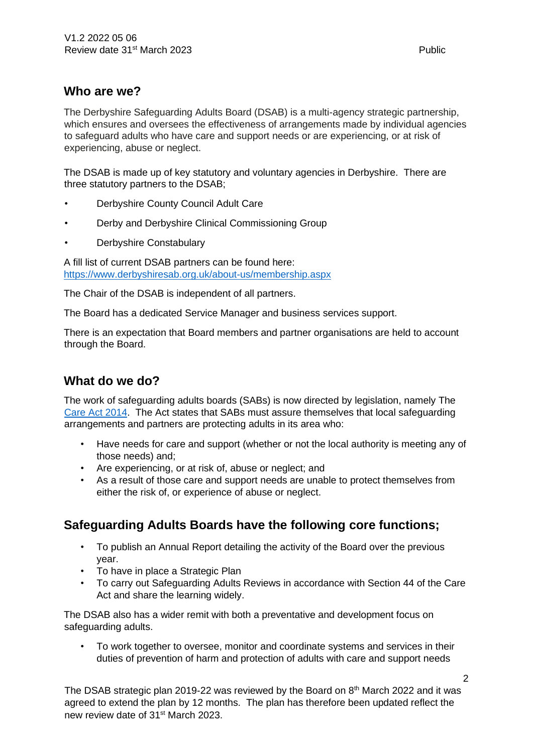#### **Who are we?**

The Derbyshire Safeguarding Adults Board (DSAB) is a multi-agency strategic partnership, which ensures and oversees the effectiveness of arrangements made by individual agencies to safeguard adults who have care and support needs or are experiencing, or at risk of experiencing, abuse or neglect.

The DSAB is made up of key statutory and voluntary agencies in Derbyshire. There are three statutory partners to the DSAB;

- Derbyshire County Council Adult Care
- Derby and Derbyshire Clinical Commissioning Group
- Derbyshire Constabulary

A fill list of current DSAB partners can be found here: <https://www.derbyshiresab.org.uk/about-us/membership.aspx>

The Chair of the DSAB is independent of all partners.

The Board has a dedicated Service Manager and business services support.

There is an expectation that Board members and partner organisations are held to account through the Board.

#### **What do we do?**

The work of safeguarding adults boards (SABs) is now directed by legislation, namely The [Care Act 2014.](https://www.gov.uk/government/publications/care-act-statutory-guidance/care-and-support-statutory-guidance) The Act states that SABs must assure themselves that local safeguarding arrangements and partners are protecting adults in its area who:

- Have needs for care and support (whether or not the local authority is meeting any of those needs) and;
- Are experiencing, or at risk of, abuse or neglect; and
- As a result of those care and support needs are unable to protect themselves from either the risk of, or experience of abuse or neglect.

#### **Safeguarding Adults Boards have the following core functions;**

- To publish an Annual Report detailing the activity of the Board over the previous year.
- To have in place a Strategic Plan
- To carry out Safeguarding Adults Reviews in accordance with Section 44 of the Care Act and share the learning widely.

The DSAB also has a wider remit with both a preventative and development focus on safeguarding adults.

• To work together to oversee, monitor and coordinate systems and services in their duties of prevention of harm and protection of adults with care and support needs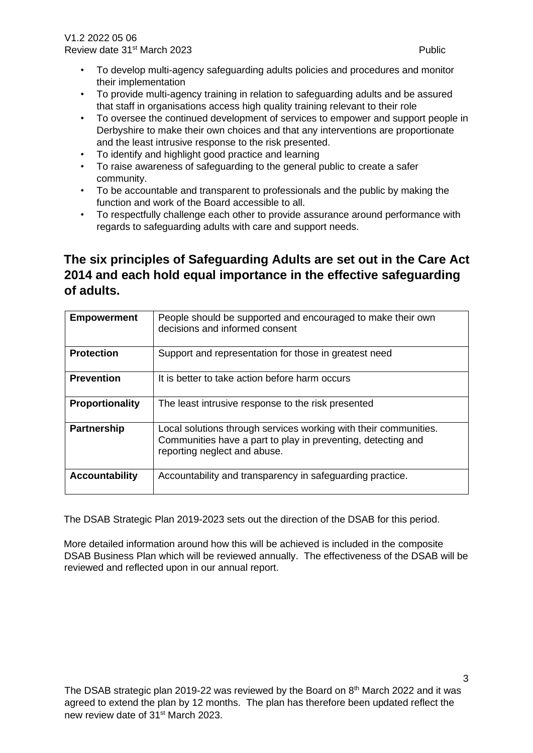V1.2 2022 05 06 Review date 31<sup>st</sup> March 2023 **Public Public Public Public** 

- To develop multi-agency safeguarding adults policies and procedures and monitor their implementation
- To provide multi-agency training in relation to safeguarding adults and be assured that staff in organisations access high quality training relevant to their role
- To oversee the continued development of services to empower and support people in Derbyshire to make their own choices and that any interventions are proportionate and the least intrusive response to the risk presented.
- To identify and highlight good practice and learning
- To raise awareness of safeguarding to the general public to create a safer community.
- To be accountable and transparent to professionals and the public by making the function and work of the Board accessible to all.
- To respectfully challenge each other to provide assurance around performance with regards to safeguarding adults with care and support needs.

## **The six principles of Safeguarding Adults are set out in the Care Act 2014 and each hold equal importance in the effective safeguarding of adults.**

| <b>Empowerment</b>    | People should be supported and encouraged to make their own<br>decisions and informed consent                                                                    |
|-----------------------|------------------------------------------------------------------------------------------------------------------------------------------------------------------|
| <b>Protection</b>     | Support and representation for those in greatest need                                                                                                            |
| <b>Prevention</b>     | It is better to take action before harm occurs                                                                                                                   |
| Proportionality       | The least intrusive response to the risk presented                                                                                                               |
| <b>Partnership</b>    | Local solutions through services working with their communities.<br>Communities have a part to play in preventing, detecting and<br>reporting neglect and abuse. |
| <b>Accountability</b> | Accountability and transparency in safeguarding practice.                                                                                                        |

The DSAB Strategic Plan 2019-2023 sets out the direction of the DSAB for this period.

More detailed information around how this will be achieved is included in the composite DSAB Business Plan which will be reviewed annually. The effectiveness of the DSAB will be reviewed and reflected upon in our annual report.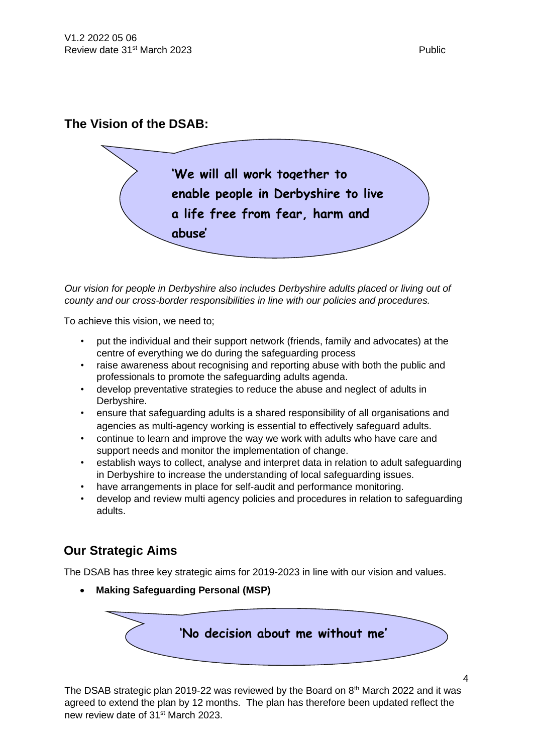#### **The Vision of the DSAB:**



*Our vision for people in Derbyshire also includes Derbyshire adults placed or living out of county and our cross-border responsibilities in line with our policies and procedures.* 

To achieve this vision, we need to;

- put the individual and their support network (friends, family and advocates) at the centre of everything we do during the safeguarding process
- raise awareness about recognising and reporting abuse with both the public and professionals to promote the safeguarding adults agenda.
- develop preventative strategies to reduce the abuse and neglect of adults in Derbyshire.
- ensure that safeguarding adults is a shared responsibility of all organisations and agencies as multi-agency working is essential to effectively safeguard adults.
- continue to learn and improve the way we work with adults who have care and support needs and monitor the implementation of change.
- establish ways to collect, analyse and interpret data in relation to adult safeguarding in Derbyshire to increase the understanding of local safeguarding issues.
- have arrangements in place for self-audit and performance monitoring.
- develop and review multi agency policies and procedures in relation to safeguarding adults.

#### **Our Strategic Aims**

The DSAB has three key strategic aims for 2019-2023 in line with our vision and values.

• **Making Safeguarding Personal (MSP)** 

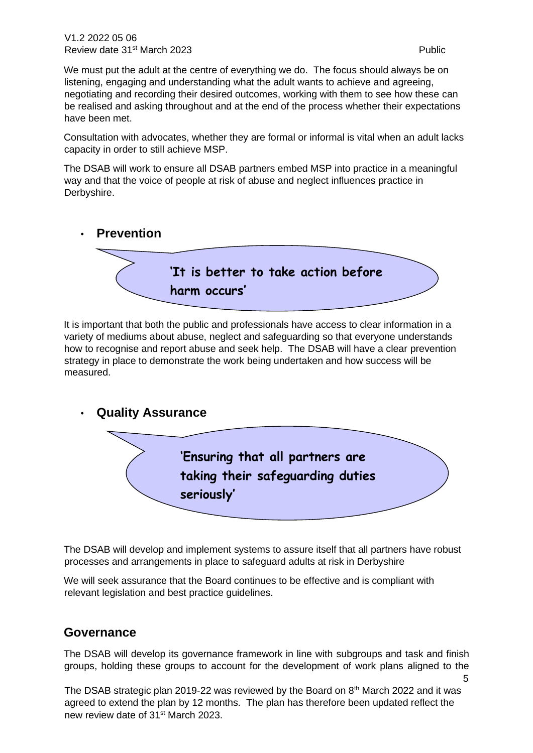5

We must put the adult at the centre of everything we do. The focus should always be on listening, engaging and understanding what the adult wants to achieve and agreeing, negotiating and recording their desired outcomes, working with them to see how these can be realised and asking throughout and at the end of the process whether their expectations have been met.

Consultation with advocates, whether they are formal or informal is vital when an adult lacks capacity in order to still achieve MSP.

The DSAB will work to ensure all DSAB partners embed MSP into practice in a meaningful way and that the voice of people at risk of abuse and neglect influences practice in Derbyshire.



It is important that both the public and professionals have access to clear information in a variety of mediums about abuse, neglect and safeguarding so that everyone understands how to recognise and report abuse and seek help. The DSAB will have a clear prevention strategy in place to demonstrate the work being undertaken and how success will be measured.

#### • **Quality Assurance**



The DSAB will develop and implement systems to assure itself that all partners have robust processes and arrangements in place to safeguard adults at risk in Derbyshire

We will seek assurance that the Board continues to be effective and is compliant with relevant legislation and best practice guidelines.

#### **Governance**

The DSAB will develop its governance framework in line with subgroups and task and finish groups, holding these groups to account for the development of work plans aligned to the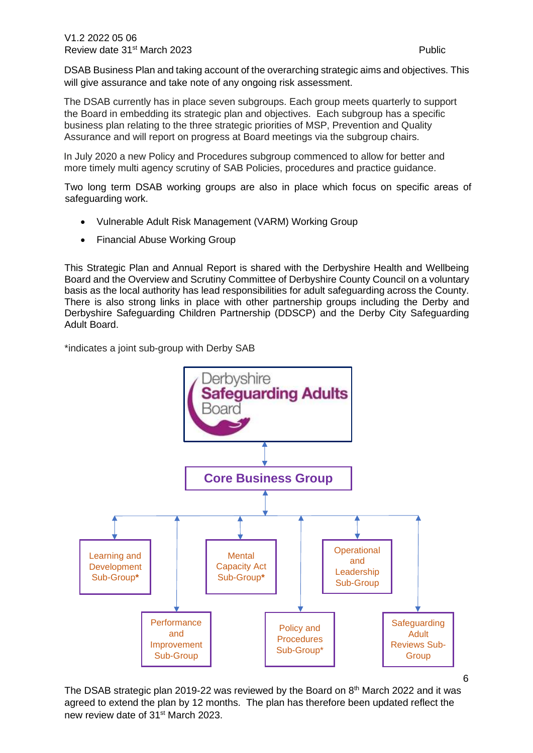DSAB Business Plan and taking account of the overarching strategic aims and objectives. This will give assurance and take note of any ongoing risk assessment.

The DSAB currently has in place seven subgroups. Each group meets quarterly to support the Board in embedding its strategic plan and objectives. Each subgroup has a specific business plan relating to the three strategic priorities of MSP, Prevention and Quality Assurance and will report on progress at Board meetings via the subgroup chairs.

In July 2020 a new Policy and Procedures subgroup commenced to allow for better and more timely multi agency scrutiny of SAB Policies, procedures and practice guidance.

Two long term DSAB working groups are also in place which focus on specific areas of safeguarding work.

- Vulnerable Adult Risk Management (VARM) Working Group
- Financial Abuse Working Group

This Strategic Plan and Annual Report is shared with the Derbyshire Health and Wellbeing Board and the Overview and Scrutiny Committee of Derbyshire County Council on a voluntary basis as the local authority has lead responsibilities for adult safeguarding across the County. There is also strong links in place with other partnership groups including the Derby and Derbyshire Safeguarding Children Partnership (DDSCP) and the Derby City Safeguarding Adult Board.

\*indicates a joint sub-group with Derby SAB



6

The DSAB strategic plan 2019-22 was reviewed by the Board on  $8<sup>th</sup>$  March 2022 and it was agreed to extend the plan by 12 months. The plan has therefore been updated reflect the new review date of 31st March 2023.